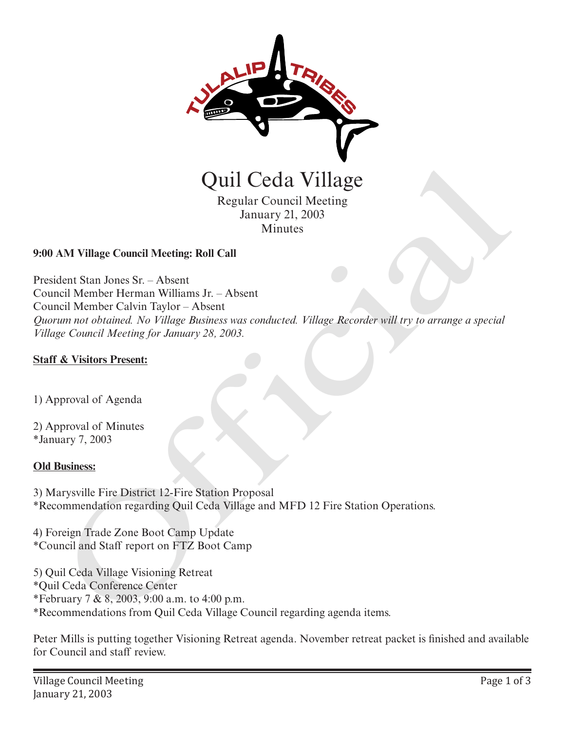

## **9:00 AM Village Council Meeting: Roll Call**

President Stan Jones Sr. – Absent Council Member Herman Williams Jr. – Absent Council Member Calvin Taylor – Absent *Quorum not obtained. No Village Business was conducted. Village Recorder will try to arrange a special Village Council Meeting for January 28, 2003.*  **CHA VIIII Cecial VIIII Cecial VIIII SECONDER CONTENT CONTENT CONTENT CONTENT CONTENT CONTENT CONTENT AND MANUSCRET CONTENT OF A SUPPORT OF A SUPPORT OF A SUPPORT OF A SUPPORT OF A SUPPORT OF A SUPPORT OF A SUPPORT OF A SU** 

## **Staff & Visitors Present:**

1) Approval of Agenda

2) Approval of Minutes \*January 7, 2003

## **Old Business:**

3) Marysville Fire District 12-Fire Station Proposal \*Recommendation regarding Quil Ceda Village and MFD 12 Fire Station Operations.

4) Foreign Trade Zone Boot Camp Update \*Council and Staff report on FTZ Boot Camp

5) Quil Ceda Village Visioning Retreat \*Quil Ceda Conference Center \*February 7 & 8, 2003, 9:00 a.m. to 4:00 p.m. \*Recommendations from Quil Ceda Village Council regarding agenda items.

Peter Mills is putting together Visioning Retreat agenda. November retreat packet is finished and available for Council and staff review.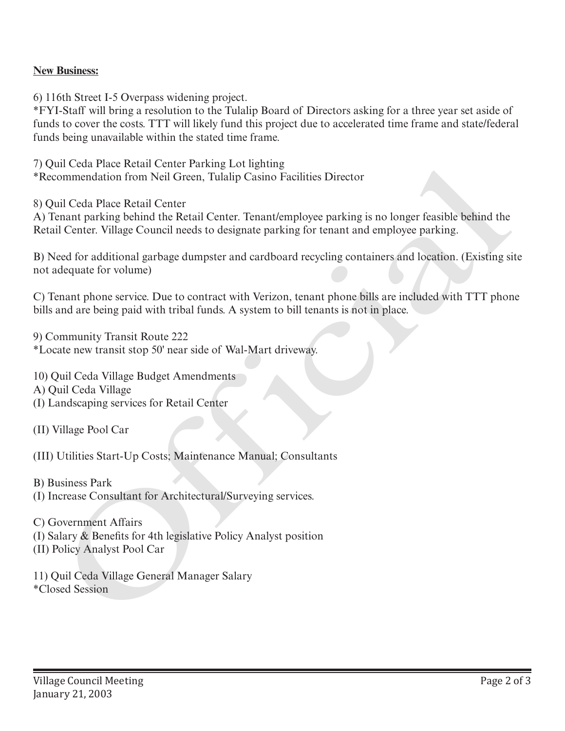## **New Business:**

6) 116th Street I-5 Overpass widening project.

\*FYI-Staff will bring a resolution to the Tulalip Board of Directors asking for a three year set aside of funds to cover the costs. TTT will likely fund this project due to accelerated time frame and state/federal funds being unavailable within the stated time frame.

7) Quil Ceda Place Retail Center Parking Lot lighting \*Recommendation from Neil Green, Tulalip Casino Facilities Director

8) Quil Ceda Place Retail Center

A) Tenant parking behind the Retail Center. Tenant/employee parking is no longer feasible behind the Retail Center. Village Council needs to designate parking for tenant and employee parking. To the data Passe lestaat Center Parking Loringthare (Figure Lession Practice)<br>The commendation from Neil Green, Tulatip Casino Facilities Director<br>8) Quil Ceda Place Retail Center<br>8) Quil Ceda Place Retail Center<br>8) Trans

B) Need for additional garbage dumpster and cardboard recycling containers and location. (Existing site not adequate for volume)

C) Tenant phone service. Due to contract with Verizon, tenant phone bills are included with TTT phone bills and are being paid with tribal funds. A system to bill tenants is not in place.

9) Community Transit Route 222 \*Locate new transit stop 50' near side of Wal-Mart driveway.

10) Quil Ceda Village Budget Amendments A) Quil Ceda Village (I) Landscaping services for Retail Center

(II) Village Pool Car

(III) Utilities Start-Up Costs; Maintenance Manual; Consultants

B) Business Park (I) Increase Consultant for Architectural/Surveying services.

C) Government Affairs (I) Salary & Benefits for 4th legislative Policy Analyst position (II) Policy Analyst Pool Car

11) Quil Ceda Village General Manager Salary